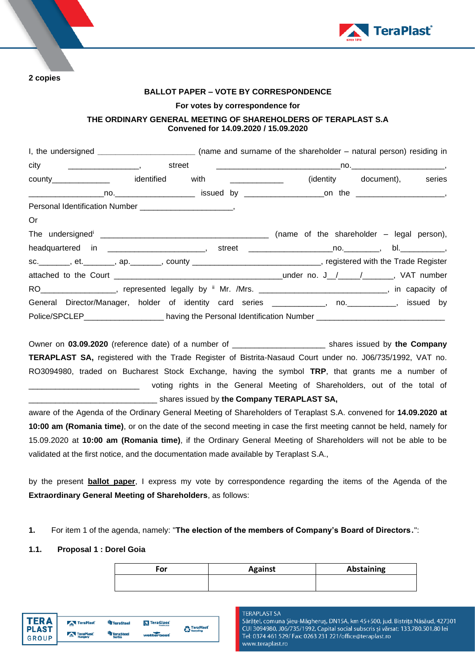

**2 copies** 

## **BALLOT PAPER – VOTE BY CORRESPONDENCE**

#### **For votes by correspondence for**

# **THE ORDINARY GENERAL MEETING OF SHAREHOLDERS OF TERAPLAST S.A Convened for 14.09.2020 / 15.09.2020**

|                                                                                                                                                                                                                                                                                                                                                                                   | I, the undersigned __________________________________ (name and surname of the shareholder - natural person) residing in |                             |  |
|-----------------------------------------------------------------------------------------------------------------------------------------------------------------------------------------------------------------------------------------------------------------------------------------------------------------------------------------------------------------------------------|--------------------------------------------------------------------------------------------------------------------------|-----------------------------|--|
|                                                                                                                                                                                                                                                                                                                                                                                   |                                                                                                                          |                             |  |
| county________________ identified with _____________                                                                                                                                                                                                                                                                                                                              |                                                                                                                          | (identity document), series |  |
|                                                                                                                                                                                                                                                                                                                                                                                   |                                                                                                                          |                             |  |
|                                                                                                                                                                                                                                                                                                                                                                                   |                                                                                                                          |                             |  |
| $Or$ and $C$                                                                                                                                                                                                                                                                                                                                                                      |                                                                                                                          |                             |  |
| The undersigned $\frac{1}{\frac{1}{2}+\frac{1}{2}-\frac{1}{2}-\frac{1}{2}-\frac{1}{2}-\frac{1}{2}-\frac{1}{2}-\frac{1}{2}-\frac{1}{2}-\frac{1}{2}-\frac{1}{2}-\frac{1}{2}-\frac{1}{2}-\frac{1}{2}-\frac{1}{2}-\frac{1}{2}-\frac{1}{2}-\frac{1}{2}-\frac{1}{2}-\frac{1}{2}-\frac{1}{2}-\frac{1}{2}-\frac{1}{2}-\frac{1}{2}-\frac{1}{2}-\frac{1}{2}-\frac{1}{2}-\frac{1}{2}-\frac{$ |                                                                                                                          |                             |  |
|                                                                                                                                                                                                                                                                                                                                                                                   |                                                                                                                          |                             |  |
| sc.________, et._______, ap._______, county _____________________________, registered with the Trade Register                                                                                                                                                                                                                                                                     |                                                                                                                          |                             |  |
|                                                                                                                                                                                                                                                                                                                                                                                   |                                                                                                                          |                             |  |
| RO __________________, represented legally by ii Mr. /Mrs. ______________________________, in capacity of                                                                                                                                                                                                                                                                         |                                                                                                                          |                             |  |
| General Director/Manager, holder of identity card series ____________, no. __________, issued by                                                                                                                                                                                                                                                                                  |                                                                                                                          |                             |  |
| Police/SPCLEP__________________________ having the Personal Identification Number ____________________________                                                                                                                                                                                                                                                                    |                                                                                                                          |                             |  |

Owner on **03.09.2020** (reference date) of a number of \_\_\_\_\_\_\_\_\_\_\_\_\_\_\_\_\_\_\_\_\_ shares issued by **the Company TERAPLAST SA,** registered with the Trade Register of Bistrita-Nasaud Court under no. J06/735/1992, VAT no. RO3094980, traded on Bucharest Stock Exchange, having the symbol **TRP**, that grants me a number of voting rights in the General Meeting of Shareholders, out of the total of \_\_\_\_\_\_\_\_\_\_\_\_\_\_\_\_\_\_\_\_\_\_\_\_\_\_\_\_\_ shares issued by **the Company TERAPLAST SA,**

aware of the Agenda of the Ordinary General Meeting of Shareholders of Teraplast S.A. convened for **14.09.2020 at 10:00 am (Romania time)**, or on the date of the second meeting in case the first meeting cannot be held, namely for 15.09.2020 at **10:00 am (Romania time)**, if the Ordinary General Meeting of Shareholders will not be able to be validated at the first notice, and the documentation made available by Teraplast S.A.,

by the present **ballot paper**, I express my vote by correspondence regarding the items of the Agenda of the **Extraordinary General Meeting of Shareholders**, as follows:

## **1.** For item 1 of the agenda, namely: "**The election of the members of Company's Board of Directors**.":

## **1.1. Proposal 1 : Dorel Goia**

| For | <b>Against</b> | Abstaining |
|-----|----------------|------------|
|     |                |            |



#### **TERAPLAST SA**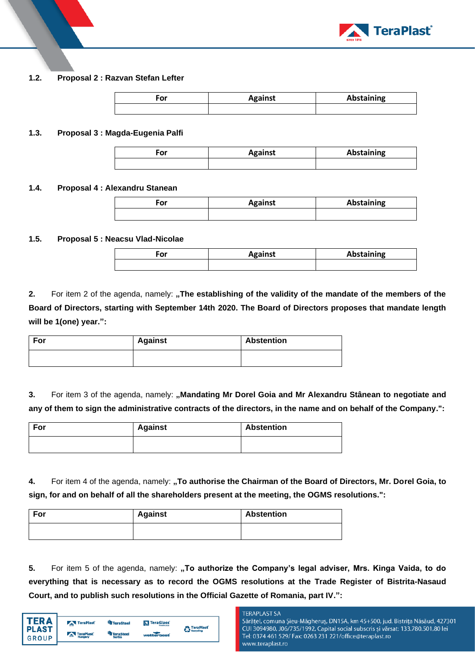

# **1.2. Proposal 2 : Razvan Stefan Lefter**

| For | <b>Against</b> | Abstaining |
|-----|----------------|------------|
|     |                |            |

## **1.3. Proposal 3 : Magda-Eugenia Palfi**

| $-0r$<br>וט־ | <b>Against</b> | Abstaining |
|--------------|----------------|------------|
|              |                |            |

## **1.4. Proposal 4 : Alexandru Stanean**

| For | <b>Against</b> | Abstaining |
|-----|----------------|------------|
|     |                |            |

# **1.5. Proposal 5 : Neacsu Vlad-Nicolae**

| σr<br>υ. | <b>Against</b> | <b>Abstaining</b> |
|----------|----------------|-------------------|
|          |                |                   |

**2.** For item 2 of the agenda, namely: "The establishing of the validity of the mandate of the members of the **Board of Directors, starting with September 14th 2020. The Board of Directors proposes that mandate length will be 1(one) year.":**

| For | <b>Against</b> | <b>Abstention</b> |
|-----|----------------|-------------------|
|     |                |                   |

**3.** For item 3 of the agenda, namely: "Mandating Mr Dorel Goia and Mr Alexandru Stânean to negotiate and **any of them to sign the administrative contracts of the directors, in the name and on behalf of the Company.":**

| For | <b>Against</b> | <b>Abstention</b> |
|-----|----------------|-------------------|
|     |                |                   |

**4.** For item 4 of the agenda, namely: "To authorise the Chairman of the Board of Directors, Mr. Dorel Goia, to **sign, for and on behalf of all the shareholders present at the meeting, the OGMS resolutions.":**

| For | <b>Against</b> | <b>Abstention</b> |
|-----|----------------|-------------------|
|     |                |                   |

**5.** For item 5 of the agenda, namely: **"To authorize the Company's legal adviser, Mrs. Kinga Vaida, to do everything that is necessary as to record the OGMS resolutions at the Trade Register of Bistrita-Nasaud Court, and to publish such resolutions in the Official Gazette of Romania, part IV.":**

| ED A                         | TeraPlast            | <b>TeraSteel</b>           | TeraGlass         | <b>TeraPlast</b> |
|------------------------------|----------------------|----------------------------|-------------------|------------------|
| <b>PLAST</b><br><b>GROUP</b> | TeraPlast<br>Hungary | <b>TeraSteel</b><br>Serbia | <b>watterbeat</b> | <b>Recycling</b> |
|                              |                      |                            |                   |                  |

#### **TERAPLAST SA**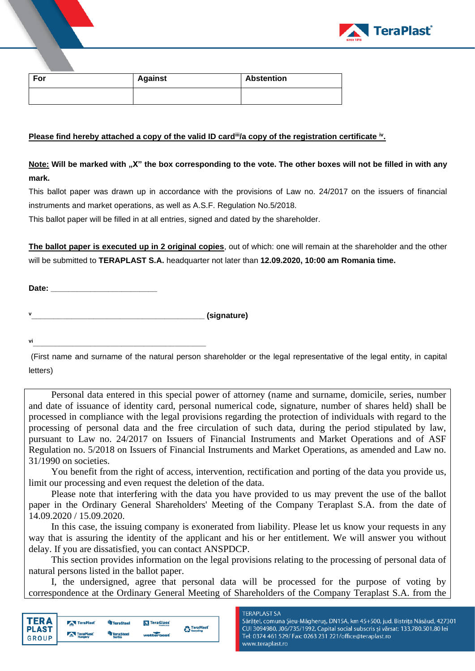

| For | <b>Against</b> | <b>Abstention</b> |
|-----|----------------|-------------------|
|     |                |                   |

# **Please find hereby attached a copy of the valid ID card<sup>iii</sup>/a copy of the registration certificate <sup>iv</sup>.**

**Note: Will be marked with "X" the box corresponding to the vote. The other boxes will not be filled in with any mark.** 

This ballot paper was drawn up in accordance with the provisions of Law no. 24/2017 on the issuers of financial instruments and market operations, as well as A.S.F. Regulation No.5/2018.

This ballot paper will be filled in at all entries, signed and dated by the shareholder.

**The ballot paper is executed up in 2 original copies**, out of which: one will remain at the shareholder and the other will be submitted to **TERAPLAST S.A.** headquarter not later than **12.09.2020, 10:00 am Romania time.** 

**Date: \_\_\_\_\_\_\_\_\_\_\_\_\_\_\_\_\_\_\_\_\_\_\_\_**

**<sup>v</sup>\_\_\_\_\_\_\_\_\_\_\_\_\_\_\_\_\_\_\_\_\_\_\_\_\_\_\_\_\_\_\_\_\_\_\_\_\_\_\_ (signature)**

**vi\_\_\_\_\_\_\_\_\_\_\_\_\_\_\_\_\_\_\_\_\_\_\_\_\_\_\_\_\_\_\_\_\_\_\_\_\_\_\_**

(First name and surname of the natural person shareholder or the legal representative of the legal entity, in capital letters)

Personal data entered in this special power of attorney (name and surname, domicile, series, number and date of issuance of identity card, personal numerical code, signature, number of shares held) shall be processed in compliance with the legal provisions regarding the protection of individuals with regard to the processing of personal data and the free circulation of such data, during the period stipulated by law, pursuant to Law no. 24/2017 on Issuers of Financial Instruments and Market Operations and of ASF Regulation no. 5/2018 on Issuers of Financial Instruments and Market Operations, as amended and Law no. 31/1990 on societies.

You benefit from the right of access, intervention, rectification and porting of the data you provide us, limit our processing and even request the deletion of the data.

Please note that interfering with the data you have provided to us may prevent the use of the ballot paper in the Ordinary General Shareholders' Meeting of the Company Teraplast S.A. from the date of 14.09.2020 / 15.09.2020.

In this case, the issuing company is exonerated from liability. Please let us know your requests in any way that is assuring the identity of the applicant and his or her entitlement. We will answer you without delay. If you are dissatisfied, you can contact ANSPDCP.

This section provides information on the legal provisions relating to the processing of personal data of natural persons listed in the ballot paper.

I, the undersigned, agree that personal data will be processed for the purpose of voting by correspondence at the Ordinary General Meeting of Shareholders of the Company Teraplast S.A. from the



#### **TERAPLAST SA**